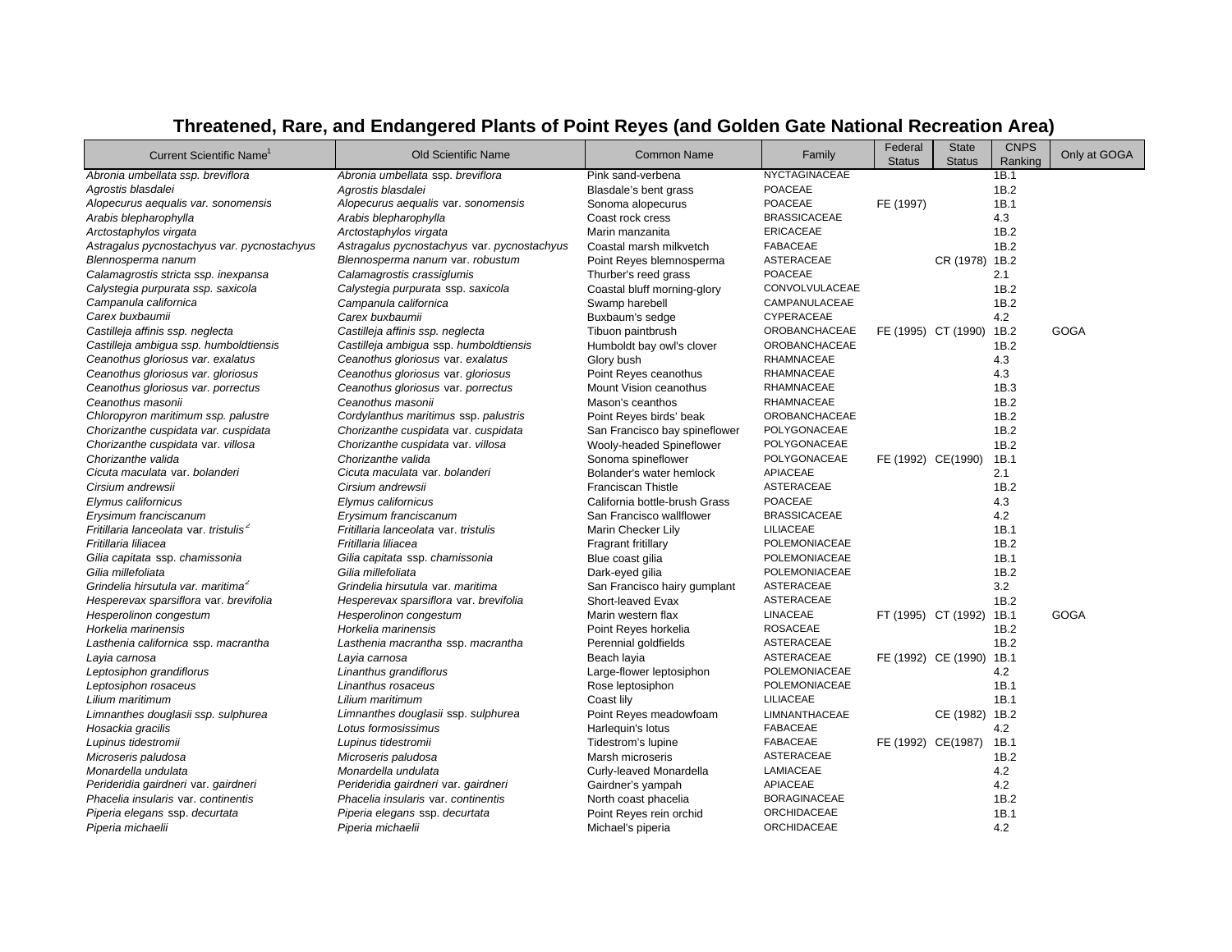| <b>Current Scientific Name</b>                     | <b>Old Scientific Name</b>                  | <b>Common Name</b>            | Family               | Federal<br><b>Status</b> | <b>State</b><br><b>Status</b> | <b>CNPS</b><br>Ranking | Only at GOGA |
|----------------------------------------------------|---------------------------------------------|-------------------------------|----------------------|--------------------------|-------------------------------|------------------------|--------------|
| Abronia umbellata ssp. breviflora                  | Abronia umbellata ssp. breviflora           | Pink sand-verbena             | <b>NYCTAGINACEAE</b> |                          |                               | 1B.1                   |              |
| Agrostis blasdalei                                 | Agrostis blasdalei                          | Blasdale's bent grass         | <b>POACEAE</b>       |                          |                               | 1B.2                   |              |
| Alopecurus aequalis var. sonomensis                | Alopecurus aequalis var. sonomensis         | Sonoma alopecurus             | <b>POACEAE</b>       | FE (1997)                |                               | 1B.1                   |              |
| Arabis blepharophylla                              | Arabis blepharophylla                       | Coast rock cress              | <b>BRASSICACEAE</b>  |                          |                               | 4.3                    |              |
| Arctostaphylos virgata                             | Arctostaphylos virgata                      | Marin manzanita               | <b>ERICACEAE</b>     |                          |                               | 1B.2                   |              |
| Astragalus pycnostachyus var. pycnostachyus        | Astragalus pycnostachyus var. pycnostachyus | Coastal marsh milkvetch       | <b>FABACEAE</b>      |                          |                               | 1B.2                   |              |
| Blennosperma nanum                                 | Blennosperma nanum var. robustum            | Point Reyes blemnosperma      | <b>ASTERACEAE</b>    |                          | CR (1978) 1B.2                |                        |              |
| Calamagrostis stricta ssp. inexpansa               | Calamagrostis crassiglumis                  | Thurber's reed grass          | <b>POACEAE</b>       |                          |                               | 2.1                    |              |
| Calystegia purpurata ssp. saxicola                 | Calystegia purpurata ssp. saxicola          | Coastal bluff morning-glory   | CONVOLVULACEAE       |                          |                               | 1B.2                   |              |
| Campanula californica                              | Campanula californica                       | Swamp harebell                | CAMPANULACEAE        |                          |                               | 1B.2                   |              |
| Carex buxbaumii                                    | Carex buxbaumii                             | Buxbaum's sedge               | CYPERACEAE           |                          |                               | 4.2                    |              |
| Castilleja affinis ssp. neglecta                   | Castilleja affinis ssp. neglecta            | Tibuon paintbrush             | <b>OROBANCHACEAE</b> |                          | FE (1995) CT (1990)           | 1B.2                   | <b>GOGA</b>  |
| Castilleja ambigua ssp. humboldtiensis             | Castilleja ambigua ssp. humboldtiensis      | Humboldt bay owl's clover     | <b>OROBANCHACEAE</b> |                          |                               | 1B.2                   |              |
| Ceanothus gloriosus var. exalatus                  | Ceanothus gloriosus var. exalatus           | Glory bush                    | RHAMNACEAE           |                          |                               | 4.3                    |              |
| Ceanothus gloriosus var. gloriosus                 | Ceanothus gloriosus var. gloriosus          | Point Reyes ceanothus         | RHAMNACEAE           |                          |                               | 4.3                    |              |
| Ceanothus gloriosus var. porrectus                 | Ceanothus gloriosus var. porrectus          | Mount Vision ceanothus        | RHAMNACEAE           |                          |                               | 1B.3                   |              |
| Ceanothus masonii                                  | Ceanothus masonii                           | Mason's ceanthos              | RHAMNACEAE           |                          |                               | 1B.2                   |              |
| Chloropyron maritimum ssp. palustre                | Cordylanthus maritimus ssp. palustris       | Point Reyes birds' beak       | <b>OROBANCHACEAE</b> |                          |                               | 1B.2                   |              |
| Chorizanthe cuspidata var. cuspidata               | Chorizanthe cuspidata var. cuspidata        | San Francisco bay spineflower | POLYGONACEAE         |                          |                               | 1B.2                   |              |
| Chorizanthe cuspidata var. villosa                 | Chorizanthe cuspidata var. villosa          | Wooly-headed Spineflower      | POLYGONACEAE         |                          |                               | 1B.2                   |              |
| Chorizanthe valida                                 | Chorizanthe valida                          | Sonoma spineflower            | POLYGONACEAE         | FE (1992) CE(1990)       |                               | 1B.1                   |              |
| Cicuta maculata var. bolanderi                     | Cicuta maculata var. bolanderi              | Bolander's water hemlock      | APIACEAE             |                          |                               | 2.1                    |              |
| Cirsium andrewsii                                  | Cirsium andrewsii                           | <b>Franciscan Thistle</b>     | <b>ASTERACEAE</b>    |                          |                               | 1B.2                   |              |
| Elymus californicus                                | Elymus californicus                         | California bottle-brush Grass | <b>POACEAE</b>       |                          |                               | 4.3                    |              |
| Erysimum franciscanum                              | Erysimum franciscanum                       | San Francisco wallflower      | <b>BRASSICACEAE</b>  |                          |                               | 4.2                    |              |
| Fritillaria lanceolata var. tristulis <sup>2</sup> | Fritillaria lanceolata var. tristulis       | Marin Checker Lily            | LILIACEAE            |                          |                               | 1B.1                   |              |
| Fritillaria liliacea                               | Fritillaria liliacea                        | Fragrant fritillary           | POLEMONIACEAE        |                          |                               | 1B.2                   |              |
| Gilia capitata ssp. chamissonia                    | Gilia capitata ssp. chamissonia             | Blue coast gilia              | POLEMONIACEAE        |                          |                               | 1B.1                   |              |
| Gilia millefoliata                                 | Gilia millefoliata                          | Dark-eyed gilia               | POLEMONIACEAE        |                          |                               | 1B.2                   |              |
| Grindelia hirsutula var. maritima <sup>2</sup>     | Grindelia hirsutula var. maritima           | San Francisco hairy gumplant  | <b>ASTERACEAE</b>    |                          |                               | 3.2                    |              |
| Hesperevax sparsiflora var. brevifolia             | Hesperevax sparsiflora var. brevifolia      | Short-leaved Evax             | <b>ASTERACEAE</b>    |                          |                               | 1B.2                   |              |
| Hesperolinon congestum                             | Hesperolinon congestum                      | Marin western flax            | <b>LINACEAE</b>      |                          | FT (1995) CT (1992)           | 1B.1                   | GOGA         |
| Horkelia marinensis                                | Horkelia marinensis                         | Point Reyes horkelia          | <b>ROSACEAE</b>      |                          |                               | 1B.2                   |              |
| Lasthenia californica ssp. macrantha               | Lasthenia macrantha ssp. macrantha          | Perennial goldfields          | <b>ASTERACEAE</b>    |                          |                               | 1B.2                   |              |
| Layia carnosa                                      | Layia carnosa                               | Beach layia                   | <b>ASTERACEAE</b>    |                          | FE (1992) CE (1990)           | 1B.1                   |              |
| Leptosiphon grandiflorus                           | Linanthus grandiflorus                      | Large-flower leptosiphon      | POLEMONIACEAE        |                          |                               | 4.2                    |              |
| Leptosiphon rosaceus                               | Linanthus rosaceus                          | Rose leptosiphon              | POLEMONIACEAE        |                          |                               | 1B.1                   |              |
| Lilium maritimum                                   | Lilium maritimum                            | Coast lily                    | LILIACEAE            |                          |                               | 1B.1                   |              |
| Limnanthes douglasii ssp. sulphurea                | Limnanthes douglasii ssp. sulphurea         | Point Reyes meadowfoam        | <b>LIMNANTHACEAE</b> |                          | CE (1982) 1B.2                |                        |              |
| Hosackia gracilis                                  | Lotus formosissimus                         | Harlequin's lotus             | <b>FABACEAE</b>      |                          |                               | 4.2                    |              |
| Lupinus tidestromii                                | Lupinus tidestromii                         | Tidestrom's lupine            | <b>FABACEAE</b>      | FE (1992) CE(1987)       |                               | 1B.1                   |              |
| Microseris paludosa                                | Microseris paludosa                         | Marsh microseris              | <b>ASTERACEAE</b>    |                          |                               | 1B.2                   |              |
| Monardella undulata                                | Monardella undulata                         | Curly-leaved Monardella       | LAMIACEAE            |                          |                               | 4.2                    |              |
| Perideridia gairdneri var. gairdneri               | Perideridia gairdneri var. gairdneri        | Gairdner's yampah             | APIACEAE             |                          |                               | 4.2                    |              |
| Phacelia insularis var. continentis                | Phacelia insularis var. continentis         | North coast phacelia          | <b>BORAGINACEAE</b>  |                          |                               | 1B.2                   |              |
| Piperia elegans ssp. decurtata                     | Piperia elegans ssp. decurtata              | Point Reyes rein orchid       | ORCHIDACEAE          |                          |                               | 1B.1                   |              |
| Piperia michaelii                                  | Piperia michaelii                           | Michael's piperia             | ORCHIDACEAE          |                          |                               | 4.2                    |              |

## **Threatened, Rare, and Endangered Plants of Point Reyes (and Golden Gate National Recreation Area)**